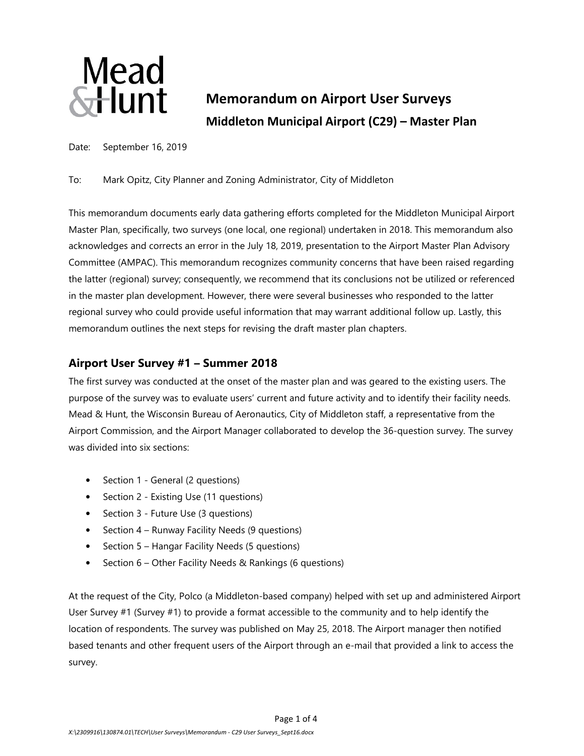

# **Memorandum on Airport User Surveys Middleton Municipal Airport (C29) – Master Plan**

Date: September 16, 2019

To: Mark Opitz, City Planner and Zoning Administrator, City of Middleton

This memorandum documents early data gathering efforts completed for the Middleton Municipal Airport Master Plan, specifically, two surveys (one local, one regional) undertaken in 2018. This memorandum also acknowledges and corrects an error in the July 18, 2019, presentation to the Airport Master Plan Advisory Committee (AMPAC). This memorandum recognizes community concerns that have been raised regarding the latter (regional) survey; consequently, we recommend that its conclusions not be utilized or referenced in the master plan development. However, there were several businesses who responded to the latter regional survey who could provide useful information that may warrant additional follow up. Lastly, this memorandum outlines the next steps for revising the draft master plan chapters.

# **Airport User Survey #1 – Summer 2018**

The first survey was conducted at the onset of the master plan and was geared to the existing users. The purpose of the survey was to evaluate users' current and future activity and to identify their facility needs. Mead & Hunt, the Wisconsin Bureau of Aeronautics, City of Middleton staff, a representative from the Airport Commission, and the Airport Manager collaborated to develop the 36-question survey. The survey was divided into six sections:

- Section 1 General (2 questions)
- Section 2 Existing Use (11 questions)
- Section 3 Future Use (3 questions)
- Section 4 Runway Facility Needs (9 questions)
- Section 5 Hangar Facility Needs (5 questions)
- Section 6 Other Facility Needs & Rankings (6 questions)

At the request of the City, Polco (a Middleton-based company) helped with set up and administered Airport User Survey #1 (Survey #1) to provide a format accessible to the community and to help identify the location of respondents. The survey was published on May 25, 2018. The Airport manager then notified based tenants and other frequent users of the Airport through an e-mail that provided a link to access the survey.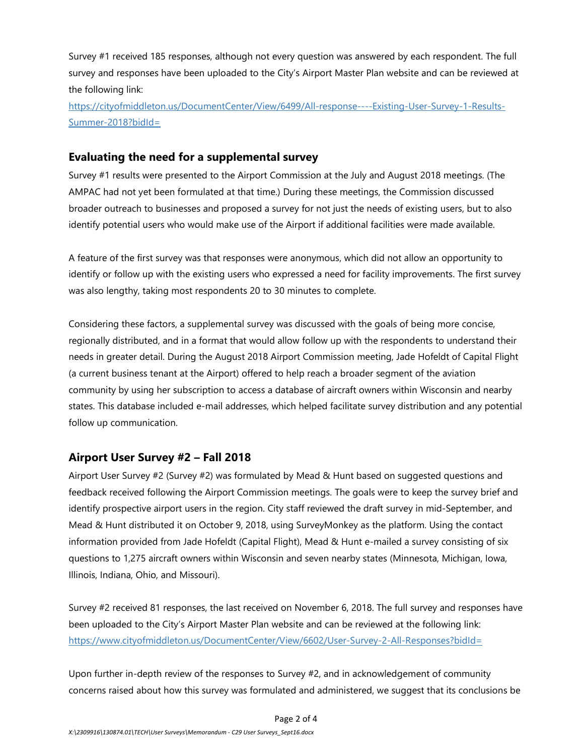Survey #1 received 185 responses, although not every question was answered by each respondent. The full survey and responses have been uploaded to the City's Airport Master Plan website and can be reviewed at the following link:

https://cityofmiddleton.us/DocumentCenter/View/6499/All-response----Existing-User-Survey-1-Results-Summer-2018?bidId=

## **Evaluating the need for a supplemental survey**

Survey #1 results were presented to the Airport Commission at the July and August 2018 meetings. (The AMPAC had not yet been formulated at that time.) During these meetings, the Commission discussed broader outreach to businesses and proposed a survey for not just the needs of existing users, but to also identify potential users who would make use of the Airport if additional facilities were made available.

A feature of the first survey was that responses were anonymous, which did not allow an opportunity to identify or follow up with the existing users who expressed a need for facility improvements. The first survey was also lengthy, taking most respondents 20 to 30 minutes to complete.

Considering these factors, a supplemental survey was discussed with the goals of being more concise, regionally distributed, and in a format that would allow follow up with the respondents to understand their needs in greater detail. During the August 2018 Airport Commission meeting, Jade Hofeldt of Capital Flight (a current business tenant at the Airport) offered to help reach a broader segment of the aviation community by using her subscription to access a database of aircraft owners within Wisconsin and nearby states. This database included e-mail addresses, which helped facilitate survey distribution and any potential follow up communication.

# **Airport User Survey #2 – Fall 2018**

Airport User Survey #2 (Survey #2) was formulated by Mead & Hunt based on suggested questions and feedback received following the Airport Commission meetings. The goals were to keep the survey brief and identify prospective airport users in the region. City staff reviewed the draft survey in mid-September, and Mead & Hunt distributed it on October 9, 2018, using SurveyMonkey as the platform. Using the contact information provided from Jade Hofeldt (Capital Flight), Mead & Hunt e-mailed a survey consisting of six questions to 1,275 aircraft owners within Wisconsin and seven nearby states (Minnesota, Michigan, Iowa, Illinois, Indiana, Ohio, and Missouri).

Survey #2 received 81 responses, the last received on November 6, 2018. The full survey and responses have been uploaded to the City's Airport Master Plan website and can be reviewed at the following link: https://www.cityofmiddleton.us/DocumentCenter/View/6602/User-Survey-2-All-Responses?bidId=

Upon further in-depth review of the responses to Survey #2, and in acknowledgement of community concerns raised about how this survey was formulated and administered, we suggest that its conclusions be

#### Page 2 of 4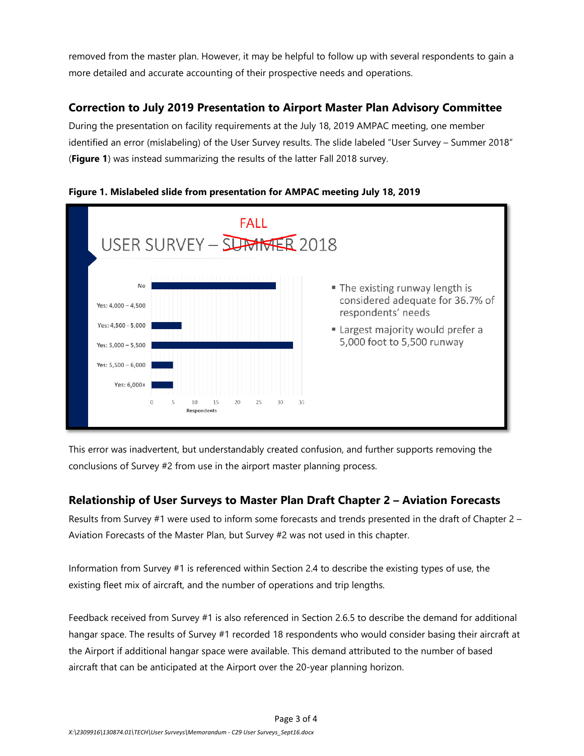removed from the master plan. However, it may be helpful to follow up with several respondents to gain a more detailed and accurate accounting of their prospective needs and operations.

# **Correction to July 2019 Presentation to Airport Master Plan Advisory Committee**

During the presentation on facility requirements at the July 18, 2019 AMPAC meeting, one member identified an error (mislabeling) of the User Survey results. The slide labeled "User Survey – Summer 2018" (**Figure 1**) was instead summarizing the results of the latter Fall 2018 survey.



#### **Figure 1. Mislabeled slide from presentation for AMPAC meeting July 18, 2019**

This error was inadvertent, but understandably created confusion, and further supports removing the conclusions of Survey #2 from use in the airport master planning process.

# **Relationship of User Surveys to Master Plan Draft Chapter 2 – Aviation Forecasts**

Results from Survey #1 were used to inform some forecasts and trends presented in the draft of Chapter 2 – Aviation Forecasts of the Master Plan, but Survey #2 was not used in this chapter.

Information from Survey #1 is referenced within Section 2.4 to describe the existing types of use, the existing fleet mix of aircraft, and the number of operations and trip lengths.

Feedback received from Survey #1 is also referenced in Section 2.6.5 to describe the demand for additional hangar space. The results of Survey #1 recorded 18 respondents who would consider basing their aircraft at the Airport if additional hangar space were available. This demand attributed to the number of based aircraft that can be anticipated at the Airport over the 20-year planning horizon.